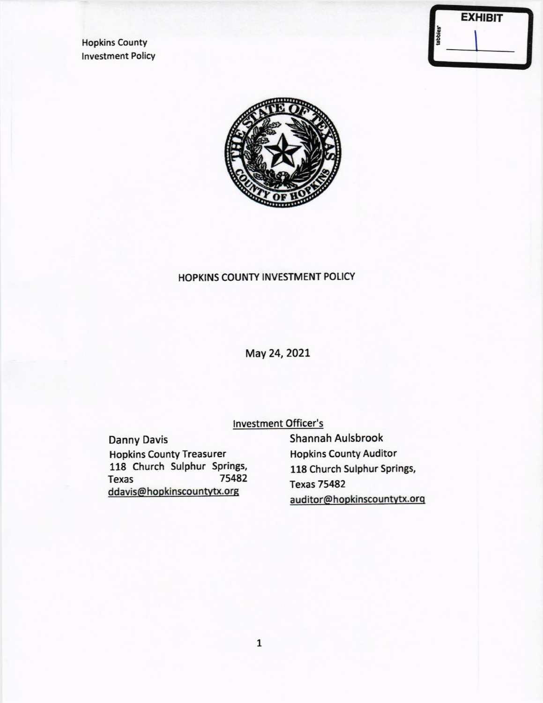**Hopkins County Investment Policy** 

|  | <b>EXHIBIT</b> |
|--|----------------|



# HOPKINS COUNTY INVESTMENT POLICY

May 24, 2021

**Investment Officer's** 

**Danny Davis Hopkins County Treasurer** 118 Church Sulphur Springs, 75482 **Texas** ddavis@hopkinscountytx.org

Shannah Aulsbrook **Hopkins County Auditor** 118 Church Sulphur Springs, **Texas 75482** auditor@hopkinscountytx.org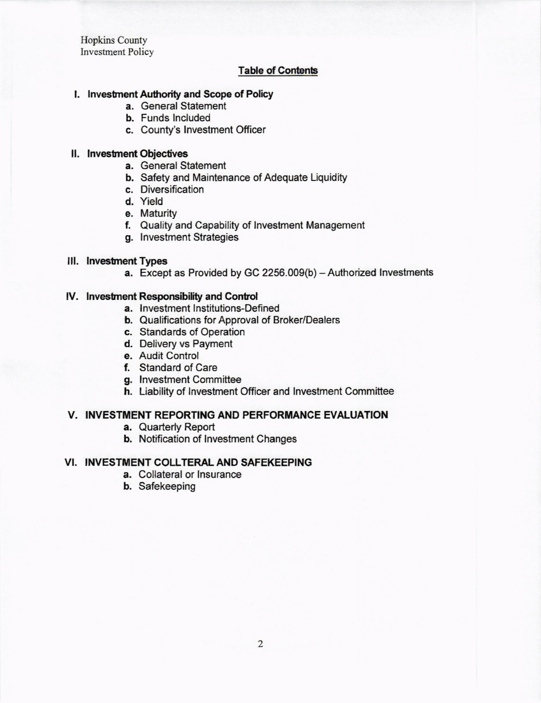Hopkins County Investment Policy

## **Table of Contents**

#### l. lnvestnent Authority and Scope of Policy

- a. General Statement
- b. Funds lncluded
- c. County's lnvestment Officer

#### II. Investment Objectives

- a. General Statement
- b. Safety and Maintenance of Adequate Liquidity
- c. Diversification
- d. Yield
- e. Maturity
- f. Quality and Capability of lnveslment Management
- g. lnvestment Strategies

#### Ill. lnvestnent Types

a. Except as Provided by GC 2256.009(b) - Authorized Investments

### lV. lnvestnent Responsibility and Contod

- a. Investment Institutions-Defined
- b. Qualifications for Approval of Broker/Dealers
- c. Standards of Operation
- d. Delivery vs Payment
- e. Audit Control
- f, Standard of Care
- g. Investment Committee
- h. Liability of lnvestment Officer and lnvestment Committee

### V. INVESTMENT REPORTING AND PERFORMANCE EVALUATION

- a. Quarterly Report
- b. Notification of lnvestment Changes

### VI. INVESTMENT COLLTERAL AND SAFEKEEPING

- a. Collateral or lnsurance
- b. Safekeeping